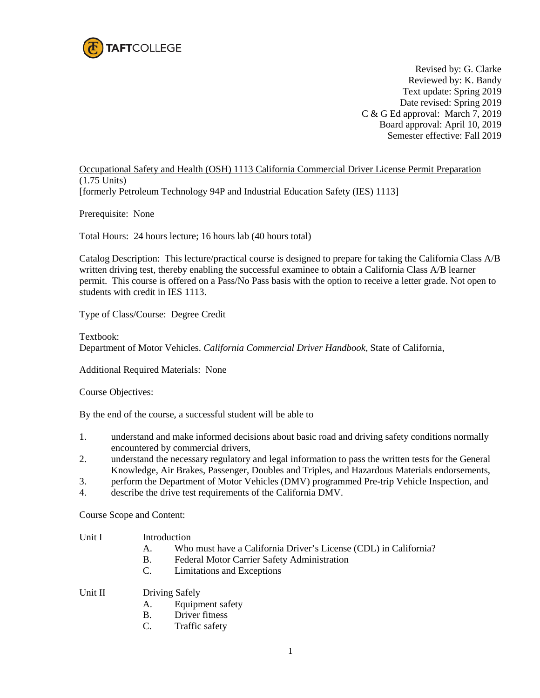

Revised by: G. Clarke Reviewed by: K. Bandy Text update: Spring 2019 Date revised: Spring 2019 C & G Ed approval: March 7, 2019 Board approval: April 10, 2019 Semester effective: Fall 2019

Occupational Safety and Health (OSH) 1113 California Commercial Driver License Permit Preparation (1.75 Units) [formerly Petroleum Technology 94P and Industrial Education Safety (IES) 1113]

Prerequisite: None

Total Hours: 24 hours lecture; 16 hours lab (40 hours total)

Catalog Description: This lecture/practical course is designed to prepare for taking the California Class A/B written driving test, thereby enabling the successful examinee to obtain a California Class A/B learner permit. This course is offered on a Pass/No Pass basis with the option to receive a letter grade. Not open to students with credit in IES 1113.

Type of Class/Course: Degree Credit

Textbook:

Department of Motor Vehicles. *California Commercial Driver Handbook,* State of California,

Additional Required Materials: None

Course Objectives:

By the end of the course, a successful student will be able to

- 1. understand and make informed decisions about basic road and driving safety conditions normally encountered by commercial drivers,
- 2. understand the necessary regulatory and legal information to pass the written tests for the General Knowledge, Air Brakes, Passenger, Doubles and Triples, and Hazardous Materials endorsements,
- 3. perform the Department of Motor Vehicles (DMV) programmed Pre-trip Vehicle Inspection, and
- 4. describe the drive test requirements of the California DMV.

Course Scope and Content:

- Unit I Introduction
	- A. Who must have a California Driver's License (CDL) in California?
	- B. Federal Motor Carrier Safety Administration
	- C. Limitations and Exceptions

Unit II Driving Safely

- A. Equipment safety
- B. Driver fitness
- C. Traffic safety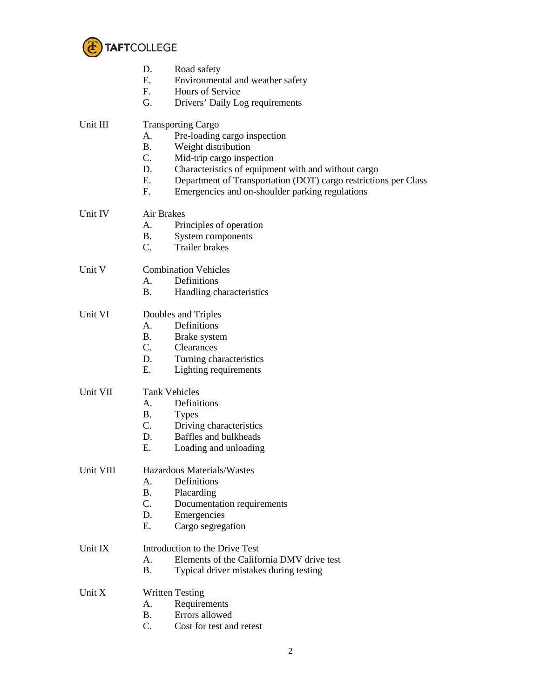

|           | D.<br>Road safety                                                     |  |  |
|-----------|-----------------------------------------------------------------------|--|--|
|           | Ε.<br>Environmental and weather safety                                |  |  |
|           | F.<br>Hours of Service                                                |  |  |
|           | G.<br>Drivers' Daily Log requirements                                 |  |  |
| Unit III  | <b>Transporting Cargo</b>                                             |  |  |
|           | A.<br>Pre-loading cargo inspection                                    |  |  |
|           | <b>B.</b><br>Weight distribution                                      |  |  |
|           | C.<br>Mid-trip cargo inspection                                       |  |  |
|           | D.<br>Characteristics of equipment with and without cargo             |  |  |
|           | Ε.<br>Department of Transportation (DOT) cargo restrictions per Class |  |  |
|           | F.<br>Emergencies and on-shoulder parking regulations                 |  |  |
| Unit IV   | Air Brakes                                                            |  |  |
|           | Principles of operation<br>А.                                         |  |  |
|           | <b>B.</b><br>System components                                        |  |  |
|           | C.<br><b>Trailer</b> brakes                                           |  |  |
| Unit V    | <b>Combination Vehicles</b>                                           |  |  |
|           | Definitions<br>A.                                                     |  |  |
|           | <b>B.</b><br>Handling characteristics                                 |  |  |
| Unit VI   | Doubles and Triples                                                   |  |  |
|           | Definitions<br>Α.                                                     |  |  |
|           | <b>B.</b><br>Brake system                                             |  |  |
|           | $C_{\cdot}$<br><b>Clearances</b>                                      |  |  |
|           | D.<br>Turning characteristics                                         |  |  |
|           | Ε.<br>Lighting requirements                                           |  |  |
| Unit VII  | <b>Tank Vehicles</b>                                                  |  |  |
|           | Definitions<br>А.                                                     |  |  |
|           | <b>B.</b><br><b>Types</b>                                             |  |  |
|           | C.<br>Driving characteristics                                         |  |  |
|           | Baffles and bulkheads<br>D.                                           |  |  |
|           | Ε.<br>Loading and unloading                                           |  |  |
| Unit VIII | Hazardous Materials/Wastes                                            |  |  |
|           | Definitions<br>A.                                                     |  |  |
|           | <b>B.</b><br>Placarding                                               |  |  |
|           | C.<br>Documentation requirements                                      |  |  |
|           | Emergencies<br>D.                                                     |  |  |
|           | E.<br>Cargo segregation                                               |  |  |
| Unit IX   | Introduction to the Drive Test                                        |  |  |
|           | Elements of the California DMV drive test<br>A.                       |  |  |
|           | <b>B.</b><br>Typical driver mistakes during testing                   |  |  |
| Unit $X$  | <b>Written Testing</b>                                                |  |  |
|           | Requirements<br>А.                                                    |  |  |
|           | Errors allowed<br><b>B.</b>                                           |  |  |
|           | C.<br>Cost for test and retest                                        |  |  |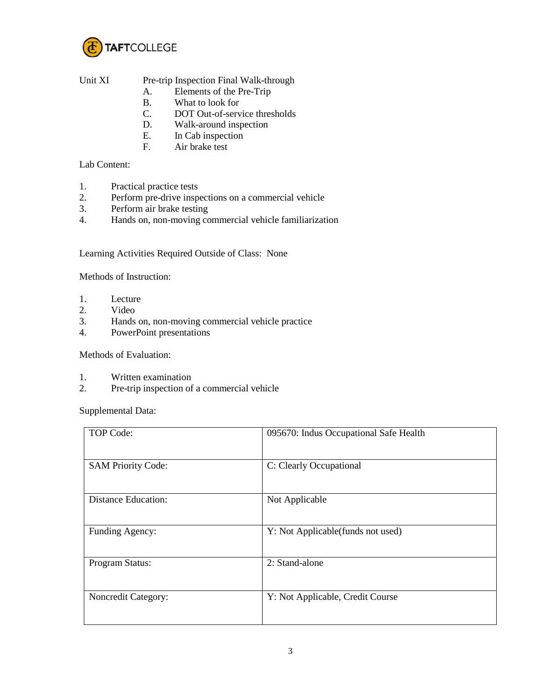

## Unit XI Pre-trip Inspection Final Walk-through

- A. Elements of the Pre-Trip
- B. What to look for
- C. DOT Out-of-service thresholds
- D. Walk-around inspection<br>E. In Cab inspection
- In Cab inspection
- F. Air brake test

## Lab Content:

- 1. Practical practice tests
- 2. Perform pre-drive inspections on a commercial vehicle<br>3. Perform air brake testing
- Perform air brake testing
- 4. Hands on, non-moving commercial vehicle familiarization

Learning Activities Required Outside of Class: None

Methods of Instruction:

- 1. Lecture
- 2. Video
- 3. Hands on, non-moving commercial vehicle practice
- 4. PowerPoint presentations

Methods of Evaluation:

- 1. Written examination<br>2. Pre-trip inspection of
- Pre-trip inspection of a commercial vehicle

Supplemental Data:

| TOP Code:                  | 095670: Indus Occupational Safe Health |
|----------------------------|----------------------------------------|
| <b>SAM Priority Code:</b>  | C: Clearly Occupational                |
| <b>Distance Education:</b> | Not Applicable                         |
| Funding Agency:            | Y: Not Applicable(funds not used)      |
| Program Status:            | 2: Stand-alone                         |
| Noncredit Category:        | Y: Not Applicable, Credit Course       |